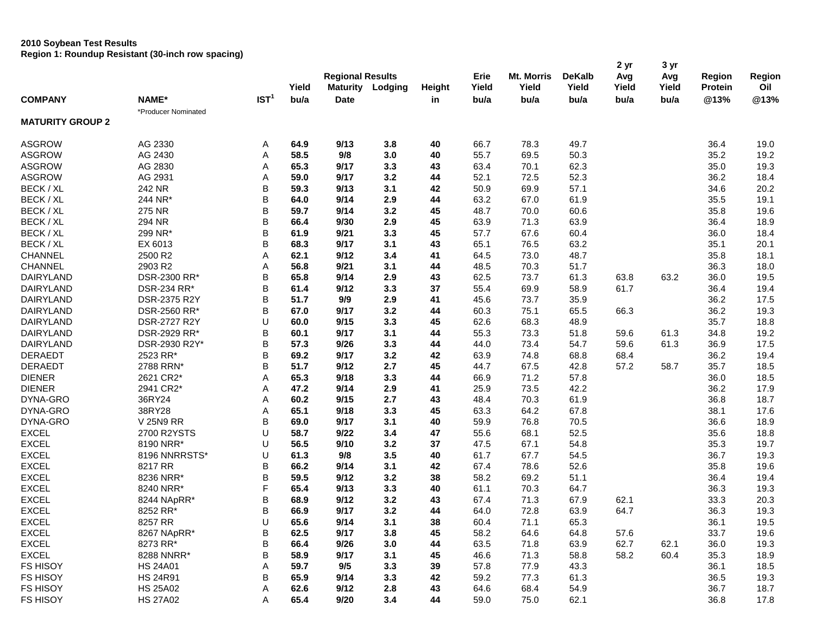## **2010 Soybean Test Results**

**Region 1: Roundup Resistant (30-inch row spacing)**

|                         |                     |                  |       |                         |         |        |       |            |               | 2 yr  | 3 yr  |         |        |
|-------------------------|---------------------|------------------|-------|-------------------------|---------|--------|-------|------------|---------------|-------|-------|---------|--------|
|                         |                     |                  |       | <b>Regional Results</b> |         |        | Erie  | Mt. Morris | <b>DeKalb</b> | Avg   | Avg   | Region  | Region |
|                         |                     |                  | Yield | <b>Maturity</b>         | Lodging | Height | Yield | Yield      | Yield         | Yield | Yield | Protein | Oil    |
| <b>COMPANY</b>          | NAME*               | IST <sup>1</sup> | bu/a  | <b>Date</b>             |         | in     | bu/a  | bu/a       | bu/a          | bu/a  | bu/a  | @13%    | @13%   |
|                         | *Producer Nominated |                  |       |                         |         |        |       |            |               |       |       |         |        |
| <b>MATURITY GROUP 2</b> |                     |                  |       |                         |         |        |       |            |               |       |       |         |        |
| <b>ASGROW</b>           | AG 2330             | Α                | 64.9  | 9/13                    | 3.8     | 40     | 66.7  | 78.3       | 49.7          |       |       | 36.4    | 19.0   |
| <b>ASGROW</b>           | AG 2430             | Α                | 58.5  | 9/8                     | 3.0     | 40     | 55.7  | 69.5       | 50.3          |       |       | 35.2    | 19.2   |
| <b>ASGROW</b>           | AG 2830             | Α                | 65.3  | 9/17                    | 3.3     | 43     | 63.4  | 70.1       | 62.3          |       |       | 35.0    | 19.3   |
| <b>ASGROW</b>           | AG 2931             | A                | 59.0  | 9/17                    | 3.2     | 44     | 52.1  | 72.5       | 52.3          |       |       | 36.2    | 18.4   |
| BECK / XL               | 242 NR              | B                | 59.3  | 9/13                    | 3.1     | 42     | 50.9  | 69.9       | 57.1          |       |       | 34.6    | 20.2   |
| BECK / XL               | 244 NR*             | B                | 64.0  | 9/14                    | 2.9     | 44     | 63.2  | 67.0       | 61.9          |       |       | 35.5    | 19.1   |
| BECK / XL               | 275 NR              | B                | 59.7  | 9/14                    | 3.2     | 45     | 48.7  | 70.0       | 60.6          |       |       | 35.8    | 19.6   |
| BECK / XL               | 294 NR              | B                | 66.4  | 9/30                    | 2.9     | 45     | 63.9  | 71.3       | 63.9          |       |       | 36.4    | 18.9   |
| BECK / XL               | 299 NR*             | B                | 61.9  | 9/21                    | 3.3     | 45     | 57.7  | 67.6       | 60.4          |       |       | 36.0    | 18.4   |
| BECK / XL               | EX 6013             | B                | 68.3  | 9/17                    | 3.1     | 43     | 65.1  | 76.5       | 63.2          |       |       | 35.1    | 20.1   |
| <b>CHANNEL</b>          | 2500 R2             | Α                | 62.1  | 9/12                    | 3.4     | 41     | 64.5  | 73.0       | 48.7          |       |       | 35.8    | 18.1   |
| <b>CHANNEL</b>          | 2903 R2             | Α                | 56.8  | 9/21                    | 3.1     | 44     | 48.5  | 70.3       | 51.7          |       |       | 36.3    | 18.0   |
| <b>DAIRYLAND</b>        | DSR-2300 RR*        | B                | 65.8  | 9/14                    | 2.9     | 43     | 62.5  | 73.7       | 61.3          | 63.8  | 63.2  | 36.0    | 19.5   |
| <b>DAIRYLAND</b>        | <b>DSR-234 RR*</b>  | B                | 61.4  | 9/12                    | 3.3     | 37     | 55.4  | 69.9       | 58.9          | 61.7  |       | 36.4    | 19.4   |
| <b>DAIRYLAND</b>        | DSR-2375 R2Y        | B                | 51.7  | 9/9                     | 2.9     | 41     | 45.6  | 73.7       | 35.9          |       |       | 36.2    | 17.5   |
| <b>DAIRYLAND</b>        | DSR-2560 RR*        | B                | 67.0  | 9/17                    | 3.2     | 44     | 60.3  | 75.1       | 65.5          | 66.3  |       | 36.2    | 19.3   |
| <b>DAIRYLAND</b>        | <b>DSR-2727 R2Y</b> | U                | 60.0  | 9/15                    | 3.3     | 45     | 62.6  | 68.3       | 48.9          |       |       | 35.7    | 18.8   |
| <b>DAIRYLAND</b>        | DSR-2929 RR*        | B                | 60.1  | 9/17                    | 3.1     | 44     | 55.3  | 73.3       | 51.8          | 59.6  | 61.3  | 34.8    | 19.2   |
| <b>DAIRYLAND</b>        | DSR-2930 R2Y*       | B                | 57.3  | 9/26                    | 3.3     | 44     | 44.0  | 73.4       | 54.7          | 59.6  | 61.3  | 36.9    | 17.5   |
| <b>DERAEDT</b>          | 2523 RR*            | B                | 69.2  | 9/17                    | 3.2     | 42     | 63.9  | 74.8       | 68.8          | 68.4  |       | 36.2    | 19.4   |
| <b>DERAEDT</b>          | 2788 RRN*           | B                | 51.7  | 9/12                    | 2.7     | 45     | 44.7  | 67.5       | 42.8          | 57.2  | 58.7  | 35.7    | 18.5   |
| <b>DIENER</b>           | 2621 CR2*           | Α                | 65.3  | 9/18                    | 3.3     | 44     | 66.9  | 71.2       | 57.8          |       |       | 36.0    | 18.5   |
| <b>DIENER</b>           | 2941 CR2*           | A                | 47.2  | 9/14                    | 2.9     | 41     | 25.9  | 73.5       | 42.2          |       |       | 36.2    | 17.9   |
| DYNA-GRO                | 36RY24              | A                | 60.2  | 9/15                    | 2.7     | 43     | 48.4  | 70.3       | 61.9          |       |       | 36.8    | 18.7   |
| DYNA-GRO                | 38RY28              | Α                | 65.1  | 9/18                    | 3.3     | 45     | 63.3  | 64.2       | 67.8          |       |       | 38.1    | 17.6   |
| DYNA-GRO                | <b>V 25N9 RR</b>    | B                | 69.0  | 9/17                    | 3.1     | 40     | 59.9  | 76.8       | 70.5          |       |       | 36.6    | 18.9   |
| <b>EXCEL</b>            | 2700 R2YSTS         | U                | 58.7  | 9/22                    | 3.4     | 47     | 55.6  | 68.1       | 52.5          |       |       | 35.6    | 18.8   |
| <b>EXCEL</b>            | 8190 NRR*           | U                | 56.5  | 9/10                    | 3.2     | 37     | 47.5  | 67.1       | 54.8          |       |       | 35.3    | 19.7   |
| <b>EXCEL</b>            | 8196 NNRRSTS*       | U                | 61.3  | 9/8                     | 3.5     | 40     | 61.7  | 67.7       | 54.5          |       |       | 36.7    | 19.3   |
| <b>EXCEL</b>            | 8217 RR             | B                | 66.2  | 9/14                    | 3.1     | 42     | 67.4  | 78.6       | 52.6          |       |       | 35.8    | 19.6   |
| <b>EXCEL</b>            | 8236 NRR*           | B                | 59.5  | 9/12                    | 3.2     | 38     | 58.2  | 69.2       | 51.1          |       |       | 36.4    | 19.4   |
| <b>EXCEL</b>            | 8240 NRR*           | F                | 65.4  | 9/13                    | 3.3     | 40     | 61.1  | 70.3       | 64.7          |       |       | 36.3    | 19.3   |
| <b>EXCEL</b>            | 8244 NApRR*         | B                | 68.9  | 9/12                    | 3.2     | 43     | 67.4  | 71.3       | 67.9          | 62.1  |       | 33.3    | 20.3   |
| <b>EXCEL</b>            | 8252 RR*            | B                | 66.9  | 9/17                    | 3.2     | 44     | 64.0  | 72.8       | 63.9          | 64.7  |       | 36.3    | 19.3   |
| <b>EXCEL</b>            | 8257 RR             | U                | 65.6  | 9/14                    | 3.1     | 38     | 60.4  | 71.1       | 65.3          |       |       | 36.1    | 19.5   |
| <b>EXCEL</b>            | 8267 NApRR*         | B                | 62.5  | 9/17                    | 3.8     | 45     | 58.2  | 64.6       | 64.8          | 57.6  |       | 33.7    | 19.6   |
| <b>EXCEL</b>            | 8273 RR*            | B                | 66.4  | 9/26                    | 3.0     | 44     | 63.5  | 71.8       | 63.9          | 62.7  | 62.1  | 36.0    | 19.3   |
| <b>EXCEL</b>            | 8288 NNRR*          | B                | 58.9  | 9/17                    | 3.1     | 45     | 46.6  | 71.3       | 58.8          | 58.2  | 60.4  | 35.3    | 18.9   |
| <b>FS HISOY</b>         | <b>HS 24A01</b>     | Α                | 59.7  | 9/5                     | 3.3     | 39     | 57.8  | 77.9       | 43.3          |       |       | 36.1    | 18.5   |
| <b>FS HISOY</b>         | <b>HS 24R91</b>     | B                | 65.9  | 9/14                    | 3.3     | 42     | 59.2  | 77.3       | 61.3          |       |       | 36.5    | 19.3   |
| FS HISOY                | <b>HS 25A02</b>     | A                | 62.6  | 9/12                    | 2.8     | 43     | 64.6  | 68.4       | 54.9          |       |       | 36.7    | 18.7   |
| FS HISOY                | <b>HS 27A02</b>     | Α                | 65.4  | 9/20                    | 3.4     | 44     | 59.0  | 75.0       | 62.1          |       |       | 36.8    | 17.8   |
|                         |                     |                  |       |                         |         |        |       |            |               |       |       |         |        |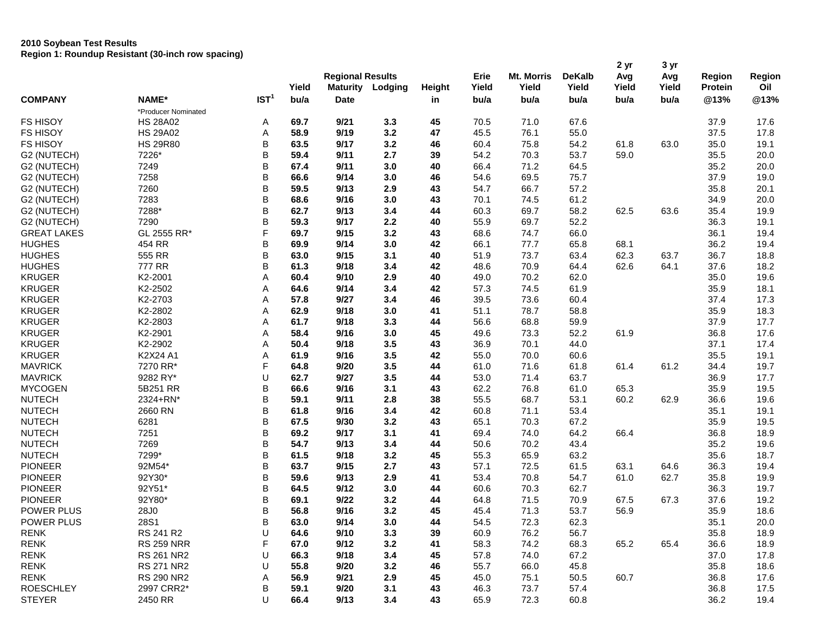## **2010 Soybean Test Results Region 1: Roundup Resistant (30-inch row spacing)**

| <b>Regional Results</b><br>Mt. Morris<br><b>DeKalb</b><br>Erie<br>Avg<br>Avg<br>Region<br>Yield<br>Yield<br>Yield<br><b>Maturity</b><br>Yield<br>Yield<br>Yield<br>Protein<br>Lodging<br>Height<br>IST <sup>1</sup><br>NAME*<br><b>COMPANY</b><br>@13%<br>bu/a<br><b>Date</b><br>bu/a<br>bu/a<br>bu/a<br>bu/a<br>bu/a<br>in<br>*Producer Nominated<br><b>FS HISOY</b><br>9/21<br>45<br>70.5<br>67.6<br><b>HS 28A02</b><br>69.7<br>3.3<br>71.0<br>37.9<br>Α<br>3.2<br><b>FS HISOY</b><br><b>HS 29A02</b><br>Α<br>58.9<br>9/19<br>47<br>45.5<br>76.1<br>55.0<br>37.5<br>B<br><b>FS HISOY</b><br><b>HS 29R80</b><br>63.5<br>9/17<br>3.2<br>46<br>60.4<br>75.8<br>61.8<br>63.0<br>35.0<br>54.2<br>B<br>7226*<br>9/11<br>2.7<br>54.2<br>70.3<br>53.7<br>59.0<br>35.5<br>G2 (NUTECH)<br>59.4<br>39<br>B<br>3.0<br>66.4<br>G2 (NUTECH)<br>7249<br>67.4<br>9/11<br>40<br>71.2<br>64.5<br>35.2<br>B<br>7258<br>66.6<br>9/14<br>3.0<br>46<br>54.6<br>69.5<br>75.7<br>37.9<br>G2 (NUTECH)<br>B<br>7260<br>59.5<br>9/13<br>2.9<br>43<br>54.7<br>66.7<br>57.2<br>35.8<br>G2 (NUTECH)<br>B<br>G2 (NUTECH)<br>7283<br>9/16<br>3.0<br>43<br>70.1<br>61.2<br>34.9<br>68.6<br>74.5<br>B<br>G2 (NUTECH)<br>7288*<br>9/13<br>3.4<br>44<br>60.3<br>58.2<br>62.5<br>63.6<br>35.4<br>62.7<br>69.7<br>B<br>7290<br>9/17<br>2.2<br>55.9<br>69.7<br>52.2<br>36.3<br>G2 (NUTECH)<br>59.3<br>40<br>F<br><b>GREAT LAKES</b><br>GL 2555 RR*<br>69.7<br>9/15<br>3.2<br>43<br>68.6<br>74.7<br>66.0<br>36.1<br>B<br><b>HUGHES</b><br>454 RR<br>69.9<br>9/14<br>3.0<br>42<br>66.1<br>77.7<br>65.8<br>36.2<br>68.1<br>B<br>555 RR<br>73.7<br><b>HUGHES</b><br>9/15<br>3.1<br>40<br>51.9<br>63.4<br>62.3<br>63.7<br>36.7<br>63.0<br>777 RR<br>B<br><b>HUGHES</b><br>9/18<br>48.6<br>70.9<br>61.3<br>3.4<br>42<br>64.4<br>62.6<br>64.1<br>37.6<br><b>KRUGER</b> | Region |
|----------------------------------------------------------------------------------------------------------------------------------------------------------------------------------------------------------------------------------------------------------------------------------------------------------------------------------------------------------------------------------------------------------------------------------------------------------------------------------------------------------------------------------------------------------------------------------------------------------------------------------------------------------------------------------------------------------------------------------------------------------------------------------------------------------------------------------------------------------------------------------------------------------------------------------------------------------------------------------------------------------------------------------------------------------------------------------------------------------------------------------------------------------------------------------------------------------------------------------------------------------------------------------------------------------------------------------------------------------------------------------------------------------------------------------------------------------------------------------------------------------------------------------------------------------------------------------------------------------------------------------------------------------------------------------------------------------------------------------------------------------------------------------------------------------------------------|--------|
|                                                                                                                                                                                                                                                                                                                                                                                                                                                                                                                                                                                                                                                                                                                                                                                                                                                                                                                                                                                                                                                                                                                                                                                                                                                                                                                                                                                                                                                                                                                                                                                                                                                                                                                                                                                                                            |        |
|                                                                                                                                                                                                                                                                                                                                                                                                                                                                                                                                                                                                                                                                                                                                                                                                                                                                                                                                                                                                                                                                                                                                                                                                                                                                                                                                                                                                                                                                                                                                                                                                                                                                                                                                                                                                                            | Oil    |
|                                                                                                                                                                                                                                                                                                                                                                                                                                                                                                                                                                                                                                                                                                                                                                                                                                                                                                                                                                                                                                                                                                                                                                                                                                                                                                                                                                                                                                                                                                                                                                                                                                                                                                                                                                                                                            | @13%   |
|                                                                                                                                                                                                                                                                                                                                                                                                                                                                                                                                                                                                                                                                                                                                                                                                                                                                                                                                                                                                                                                                                                                                                                                                                                                                                                                                                                                                                                                                                                                                                                                                                                                                                                                                                                                                                            |        |
|                                                                                                                                                                                                                                                                                                                                                                                                                                                                                                                                                                                                                                                                                                                                                                                                                                                                                                                                                                                                                                                                                                                                                                                                                                                                                                                                                                                                                                                                                                                                                                                                                                                                                                                                                                                                                            | 17.6   |
|                                                                                                                                                                                                                                                                                                                                                                                                                                                                                                                                                                                                                                                                                                                                                                                                                                                                                                                                                                                                                                                                                                                                                                                                                                                                                                                                                                                                                                                                                                                                                                                                                                                                                                                                                                                                                            | 17.8   |
|                                                                                                                                                                                                                                                                                                                                                                                                                                                                                                                                                                                                                                                                                                                                                                                                                                                                                                                                                                                                                                                                                                                                                                                                                                                                                                                                                                                                                                                                                                                                                                                                                                                                                                                                                                                                                            | 19.1   |
|                                                                                                                                                                                                                                                                                                                                                                                                                                                                                                                                                                                                                                                                                                                                                                                                                                                                                                                                                                                                                                                                                                                                                                                                                                                                                                                                                                                                                                                                                                                                                                                                                                                                                                                                                                                                                            | 20.0   |
|                                                                                                                                                                                                                                                                                                                                                                                                                                                                                                                                                                                                                                                                                                                                                                                                                                                                                                                                                                                                                                                                                                                                                                                                                                                                                                                                                                                                                                                                                                                                                                                                                                                                                                                                                                                                                            | 20.0   |
|                                                                                                                                                                                                                                                                                                                                                                                                                                                                                                                                                                                                                                                                                                                                                                                                                                                                                                                                                                                                                                                                                                                                                                                                                                                                                                                                                                                                                                                                                                                                                                                                                                                                                                                                                                                                                            | 19.0   |
|                                                                                                                                                                                                                                                                                                                                                                                                                                                                                                                                                                                                                                                                                                                                                                                                                                                                                                                                                                                                                                                                                                                                                                                                                                                                                                                                                                                                                                                                                                                                                                                                                                                                                                                                                                                                                            | 20.1   |
|                                                                                                                                                                                                                                                                                                                                                                                                                                                                                                                                                                                                                                                                                                                                                                                                                                                                                                                                                                                                                                                                                                                                                                                                                                                                                                                                                                                                                                                                                                                                                                                                                                                                                                                                                                                                                            | 20.0   |
|                                                                                                                                                                                                                                                                                                                                                                                                                                                                                                                                                                                                                                                                                                                                                                                                                                                                                                                                                                                                                                                                                                                                                                                                                                                                                                                                                                                                                                                                                                                                                                                                                                                                                                                                                                                                                            | 19.9   |
|                                                                                                                                                                                                                                                                                                                                                                                                                                                                                                                                                                                                                                                                                                                                                                                                                                                                                                                                                                                                                                                                                                                                                                                                                                                                                                                                                                                                                                                                                                                                                                                                                                                                                                                                                                                                                            | 19.1   |
|                                                                                                                                                                                                                                                                                                                                                                                                                                                                                                                                                                                                                                                                                                                                                                                                                                                                                                                                                                                                                                                                                                                                                                                                                                                                                                                                                                                                                                                                                                                                                                                                                                                                                                                                                                                                                            | 19.4   |
|                                                                                                                                                                                                                                                                                                                                                                                                                                                                                                                                                                                                                                                                                                                                                                                                                                                                                                                                                                                                                                                                                                                                                                                                                                                                                                                                                                                                                                                                                                                                                                                                                                                                                                                                                                                                                            | 19.4   |
|                                                                                                                                                                                                                                                                                                                                                                                                                                                                                                                                                                                                                                                                                                                                                                                                                                                                                                                                                                                                                                                                                                                                                                                                                                                                                                                                                                                                                                                                                                                                                                                                                                                                                                                                                                                                                            | 18.8   |
|                                                                                                                                                                                                                                                                                                                                                                                                                                                                                                                                                                                                                                                                                                                                                                                                                                                                                                                                                                                                                                                                                                                                                                                                                                                                                                                                                                                                                                                                                                                                                                                                                                                                                                                                                                                                                            | 18.2   |
| K2-2001<br>Α<br>2.9<br>40<br>49.0<br>62.0<br>60.4<br>9/10<br>70.2<br>35.0                                                                                                                                                                                                                                                                                                                                                                                                                                                                                                                                                                                                                                                                                                                                                                                                                                                                                                                                                                                                                                                                                                                                                                                                                                                                                                                                                                                                                                                                                                                                                                                                                                                                                                                                                  | 19.6   |
| <b>KRUGER</b><br>K2-2502<br>Α<br>64.6<br>9/14<br>3.4<br>42<br>57.3<br>74.5<br>61.9<br>35.9                                                                                                                                                                                                                                                                                                                                                                                                                                                                                                                                                                                                                                                                                                                                                                                                                                                                                                                                                                                                                                                                                                                                                                                                                                                                                                                                                                                                                                                                                                                                                                                                                                                                                                                                 | 18.1   |
| K2-2703<br><b>KRUGER</b><br>Α<br>57.8<br>9/27<br>3.4<br>46<br>39.5<br>73.6<br>60.4<br>37.4                                                                                                                                                                                                                                                                                                                                                                                                                                                                                                                                                                                                                                                                                                                                                                                                                                                                                                                                                                                                                                                                                                                                                                                                                                                                                                                                                                                                                                                                                                                                                                                                                                                                                                                                 | 17.3   |
| <b>KRUGER</b><br>K2-2802<br>Α<br>62.9<br>9/18<br>3.0<br>41<br>51.1<br>78.7<br>58.8<br>35.9                                                                                                                                                                                                                                                                                                                                                                                                                                                                                                                                                                                                                                                                                                                                                                                                                                                                                                                                                                                                                                                                                                                                                                                                                                                                                                                                                                                                                                                                                                                                                                                                                                                                                                                                 | 18.3   |
| <b>KRUGER</b><br>K2-2803<br>61.7<br>9/18<br>3.3<br>44<br>56.6<br>59.9<br>37.9<br>Α<br>68.8                                                                                                                                                                                                                                                                                                                                                                                                                                                                                                                                                                                                                                                                                                                                                                                                                                                                                                                                                                                                                                                                                                                                                                                                                                                                                                                                                                                                                                                                                                                                                                                                                                                                                                                                 | 17.7   |
| <b>KRUGER</b><br>K2-2901<br>Α<br>58.4<br>9/16<br>3.0<br>45<br>49.6<br>52.2<br>61.9<br>36.8<br>73.3                                                                                                                                                                                                                                                                                                                                                                                                                                                                                                                                                                                                                                                                                                                                                                                                                                                                                                                                                                                                                                                                                                                                                                                                                                                                                                                                                                                                                                                                                                                                                                                                                                                                                                                         | 17.6   |
| <b>KRUGER</b><br>K2-2902<br>Α<br>50.4<br>9/18<br>3.5<br>43<br>36.9<br>70.1<br>44.0<br>37.1                                                                                                                                                                                                                                                                                                                                                                                                                                                                                                                                                                                                                                                                                                                                                                                                                                                                                                                                                                                                                                                                                                                                                                                                                                                                                                                                                                                                                                                                                                                                                                                                                                                                                                                                 | 17.4   |
| 3.5<br><b>KRUGER</b><br>K2X24 A1<br>Α<br>9/16<br>42<br>55.0<br>70.0<br>60.6<br>35.5<br>61.9                                                                                                                                                                                                                                                                                                                                                                                                                                                                                                                                                                                                                                                                                                                                                                                                                                                                                                                                                                                                                                                                                                                                                                                                                                                                                                                                                                                                                                                                                                                                                                                                                                                                                                                                | 19.1   |
| F<br><b>MAVRICK</b><br>3.5<br>7270 RR*<br>64.8<br>9/20<br>44<br>61.0<br>71.6<br>61.2<br>61.8<br>61.4<br>34.4                                                                                                                                                                                                                                                                                                                                                                                                                                                                                                                                                                                                                                                                                                                                                                                                                                                                                                                                                                                                                                                                                                                                                                                                                                                                                                                                                                                                                                                                                                                                                                                                                                                                                                               | 19.7   |
| U<br><b>MAVRICK</b><br>9282 RY*<br>9/27<br>3.5<br>44<br>53.0<br>71.4<br>63.7<br>36.9<br>62.7                                                                                                                                                                                                                                                                                                                                                                                                                                                                                                                                                                                                                                                                                                                                                                                                                                                                                                                                                                                                                                                                                                                                                                                                                                                                                                                                                                                                                                                                                                                                                                                                                                                                                                                               | 17.7   |
| B<br><b>MYCOGEN</b><br>9/16<br>3.1<br>62.2<br>5B251 RR<br>66.6<br>43<br>76.8<br>61.0<br>65.3<br>35.9                                                                                                                                                                                                                                                                                                                                                                                                                                                                                                                                                                                                                                                                                                                                                                                                                                                                                                                                                                                                                                                                                                                                                                                                                                                                                                                                                                                                                                                                                                                                                                                                                                                                                                                       | 19.5   |
| B<br><b>NUTECH</b><br>2324+RN*<br>59.1<br>9/11<br>2.8<br>38<br>55.5<br>68.7<br>53.1<br>60.2<br>62.9<br>36.6                                                                                                                                                                                                                                                                                                                                                                                                                                                                                                                                                                                                                                                                                                                                                                                                                                                                                                                                                                                                                                                                                                                                                                                                                                                                                                                                                                                                                                                                                                                                                                                                                                                                                                                | 19.6   |
| B<br><b>NUTECH</b><br>2660 RN<br>9/16<br>3.4<br>42<br>60.8<br>71.1<br>53.4<br>35.1<br>61.8                                                                                                                                                                                                                                                                                                                                                                                                                                                                                                                                                                                                                                                                                                                                                                                                                                                                                                                                                                                                                                                                                                                                                                                                                                                                                                                                                                                                                                                                                                                                                                                                                                                                                                                                 | 19.1   |
| B<br><b>NUTECH</b><br>3.2<br>6281<br>67.5<br>9/30<br>43<br>65.1<br>70.3<br>67.2<br>35.9                                                                                                                                                                                                                                                                                                                                                                                                                                                                                                                                                                                                                                                                                                                                                                                                                                                                                                                                                                                                                                                                                                                                                                                                                                                                                                                                                                                                                                                                                                                                                                                                                                                                                                                                    | 19.5   |
| B<br><b>NUTECH</b><br>7251<br>69.2<br>9/17<br>3.1<br>69.4<br>74.0<br>64.2<br>36.8<br>41<br>66.4                                                                                                                                                                                                                                                                                                                                                                                                                                                                                                                                                                                                                                                                                                                                                                                                                                                                                                                                                                                                                                                                                                                                                                                                                                                                                                                                                                                                                                                                                                                                                                                                                                                                                                                            | 18.9   |
| B<br><b>NUTECH</b><br>7269<br>9/13<br>3.4<br>50.6<br>43.4<br>54.7<br>44<br>70.2<br>35.2                                                                                                                                                                                                                                                                                                                                                                                                                                                                                                                                                                                                                                                                                                                                                                                                                                                                                                                                                                                                                                                                                                                                                                                                                                                                                                                                                                                                                                                                                                                                                                                                                                                                                                                                    | 19.6   |
| B<br><b>NUTECH</b><br>7299*<br>9/18<br>3.2<br>45<br>55.3<br>65.9<br>63.2<br>35.6<br>61.5                                                                                                                                                                                                                                                                                                                                                                                                                                                                                                                                                                                                                                                                                                                                                                                                                                                                                                                                                                                                                                                                                                                                                                                                                                                                                                                                                                                                                                                                                                                                                                                                                                                                                                                                   | 18.7   |
| B<br>2.7<br><b>PIONEER</b><br>92M54*<br>63.7<br>9/15<br>43<br>57.1<br>72.5<br>61.5<br>36.3<br>63.1<br>64.6                                                                                                                                                                                                                                                                                                                                                                                                                                                                                                                                                                                                                                                                                                                                                                                                                                                                                                                                                                                                                                                                                                                                                                                                                                                                                                                                                                                                                                                                                                                                                                                                                                                                                                                 | 19.4   |
| B<br><b>PIONEER</b><br>92Y30*<br>59.6<br>9/13<br>2.9<br>41<br>53.4<br>62.7<br>35.8<br>70.8<br>54.7<br>61.0                                                                                                                                                                                                                                                                                                                                                                                                                                                                                                                                                                                                                                                                                                                                                                                                                                                                                                                                                                                                                                                                                                                                                                                                                                                                                                                                                                                                                                                                                                                                                                                                                                                                                                                 | 19.9   |
| B<br><b>PIONEER</b><br>92Y51*<br>9/12<br>64.5<br>3.0<br>44<br>60.6<br>70.3<br>62.7<br>36.3                                                                                                                                                                                                                                                                                                                                                                                                                                                                                                                                                                                                                                                                                                                                                                                                                                                                                                                                                                                                                                                                                                                                                                                                                                                                                                                                                                                                                                                                                                                                                                                                                                                                                                                                 | 19.7   |
| B<br><b>PIONEER</b><br>92Y80*<br>3.2<br>69.1<br>9/22<br>44<br>64.8<br>71.5<br>70.9<br>67.5<br>67.3<br>37.6                                                                                                                                                                                                                                                                                                                                                                                                                                                                                                                                                                                                                                                                                                                                                                                                                                                                                                                                                                                                                                                                                                                                                                                                                                                                                                                                                                                                                                                                                                                                                                                                                                                                                                                 | 19.2   |
| B<br>POWER PLUS<br>56.8<br>9/16<br>3.2<br>45<br>45.4<br>71.3<br>53.7<br>56.9<br>35.9<br>28J0                                                                                                                                                                                                                                                                                                                                                                                                                                                                                                                                                                                                                                                                                                                                                                                                                                                                                                                                                                                                                                                                                                                                                                                                                                                                                                                                                                                                                                                                                                                                                                                                                                                                                                                               | 18.6   |
| B<br>POWER PLUS<br>28S1<br>63.0<br>9/14<br>$3.0$<br>44<br>54.5<br>72.3<br>62.3<br>35.1                                                                                                                                                                                                                                                                                                                                                                                                                                                                                                                                                                                                                                                                                                                                                                                                                                                                                                                                                                                                                                                                                                                                                                                                                                                                                                                                                                                                                                                                                                                                                                                                                                                                                                                                     | 20.0   |
| U<br>56.7<br>RENK<br>RS 241 R2<br>64.6<br>9/10<br>3.3<br>39<br>60.9<br>76.2<br>35.8                                                                                                                                                                                                                                                                                                                                                                                                                                                                                                                                                                                                                                                                                                                                                                                                                                                                                                                                                                                                                                                                                                                                                                                                                                                                                                                                                                                                                                                                                                                                                                                                                                                                                                                                        | 18.9   |
| <b>RENK</b><br>F<br><b>RS 259 NRR</b><br>65.4<br>67.0<br>9/12<br>3.2<br>58.3<br>74.2<br>68.3<br>65.2<br>36.6<br>41                                                                                                                                                                                                                                                                                                                                                                                                                                                                                                                                                                                                                                                                                                                                                                                                                                                                                                                                                                                                                                                                                                                                                                                                                                                                                                                                                                                                                                                                                                                                                                                                                                                                                                         | 18.9   |
| <b>RENK</b><br><b>RS 261 NR2</b><br>U<br>66.3<br>9/18<br>3.4<br>57.8<br>74.0<br>67.2<br>37.0<br>45                                                                                                                                                                                                                                                                                                                                                                                                                                                                                                                                                                                                                                                                                                                                                                                                                                                                                                                                                                                                                                                                                                                                                                                                                                                                                                                                                                                                                                                                                                                                                                                                                                                                                                                         | 17.8   |
| RS 271 NR2<br>55.7<br><b>RENK</b><br>U<br>55.8<br>9/20<br>3.2<br>46<br>66.0<br>45.8<br>35.8                                                                                                                                                                                                                                                                                                                                                                                                                                                                                                                                                                                                                                                                                                                                                                                                                                                                                                                                                                                                                                                                                                                                                                                                                                                                                                                                                                                                                                                                                                                                                                                                                                                                                                                                | 18.6   |
| <b>RENK</b><br><b>RS 290 NR2</b><br>56.9<br>9/21<br>2.9<br>45<br>75.1<br>Α<br>45.0<br>50.5<br>60.7<br>36.8                                                                                                                                                                                                                                                                                                                                                                                                                                                                                                                                                                                                                                                                                                                                                                                                                                                                                                                                                                                                                                                                                                                                                                                                                                                                                                                                                                                                                                                                                                                                                                                                                                                                                                                 | 17.6   |
| <b>ROESCHLEY</b><br>2997 CRR2*<br>В<br>9/20<br>3.1<br>43<br>73.7<br>57.4<br>59.1<br>46.3<br>36.8                                                                                                                                                                                                                                                                                                                                                                                                                                                                                                                                                                                                                                                                                                                                                                                                                                                                                                                                                                                                                                                                                                                                                                                                                                                                                                                                                                                                                                                                                                                                                                                                                                                                                                                           | 17.5   |
| U<br><b>STEYER</b><br>2450 RR<br>66.4<br>9/13<br>3.4<br>43<br>65.9<br>72.3<br>60.8<br>36.2                                                                                                                                                                                                                                                                                                                                                                                                                                                                                                                                                                                                                                                                                                                                                                                                                                                                                                                                                                                                                                                                                                                                                                                                                                                                                                                                                                                                                                                                                                                                                                                                                                                                                                                                 | 19.4   |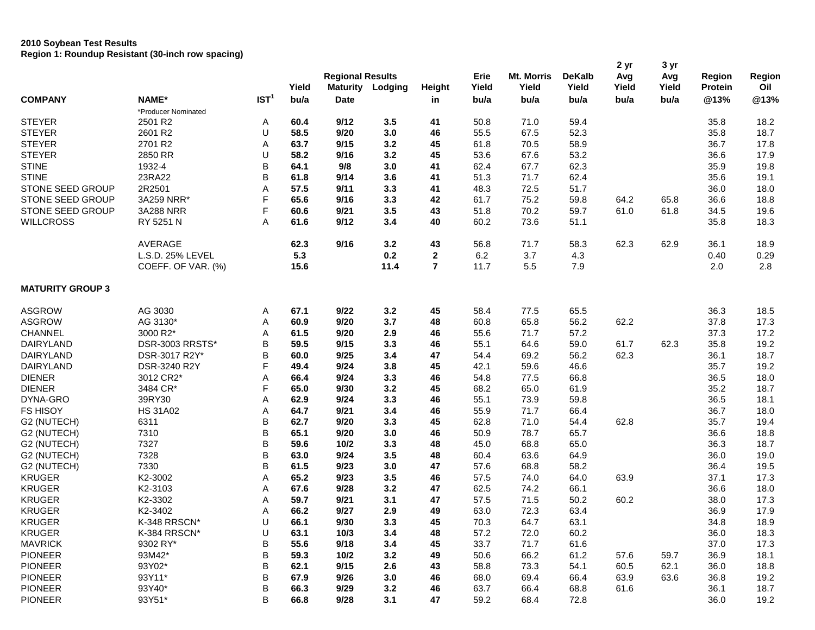## **2010 Soybean Test Results Region 1: Roundup Resistant (30-inch row spacing)**

| Yield<br>Yield<br>Yield<br>Oil<br>Yield<br><b>Maturity</b><br>Yield<br>Yield<br>Protein<br>Lodging<br><b>Height</b><br>IST <sup>1</sup><br><b>COMPANY</b><br>NAME*<br>bu/a<br>@13%<br>@13%<br>bu/a<br><b>Date</b><br>bu/a<br>bu/a<br>bu/a<br>bu/a<br>in<br>*Producer Nominated<br><b>STEYER</b><br>2501 R2<br>9/12<br>3.5<br>50.8<br>59.4<br>Α<br>60.4<br>41<br>71.0<br>35.8<br>18.2<br>U<br><b>STEYER</b><br>2601 R2<br>58.5<br>9/20<br>3.0<br>46<br>55.5<br>67.5<br>52.3<br>18.7<br>35.8<br><b>STEYER</b><br>17.8<br>2701 R2<br>Α<br>63.7<br>9/15<br>3.2<br>45<br>61.8<br>70.5<br>58.9<br>36.7<br>U<br><b>STEYER</b><br>2850 RR<br>58.2<br>45<br>53.6<br>53.2<br>17.9<br>9/16<br>3.2<br>67.6<br>36.6<br>B<br><b>STINE</b><br>1932-4<br>62.4<br>67.7<br>62.3<br>19.8<br>64.1<br>9/8<br>3.0<br>41<br>35.9<br><b>STINE</b><br>23RA22<br>B<br>61.8<br>9/14<br>3.6<br>51.3<br>71.7<br>62.4<br>19.1<br>41<br>35.6<br>2R2501<br>A<br><b>STONE SEED GROUP</b><br>57.5<br>9/11<br>3.3<br>41<br>48.3<br>72.5<br>51.7<br>36.0<br>18.0<br>F<br>STONE SEED GROUP<br>3A259 NRR*<br>65.6<br>9/16<br>3.3<br>42<br>61.7<br>75.2<br>59.8<br>64.2<br>65.8<br>36.6<br>18.8<br>F<br><b>STONE SEED GROUP</b><br>3A288 NRR<br>60.6<br>9/21<br>3.5<br>43<br>51.8<br>70.2<br>59.7<br>61.0<br>61.8<br>34.5<br>19.6<br><b>WILLCROSS</b><br>RY 5251 N<br>A<br>9/12<br>40<br>60.2<br>18.3<br>61.6<br>3.4<br>73.6<br>51.1<br>35.8<br>AVERAGE<br>62.3<br>9/16<br>3.2<br>43<br>56.8<br>71.7<br>58.3<br>62.3<br>62.9<br>18.9<br>36.1<br>5.3<br>$\mathbf{2}$<br>6.2<br>L.S.D. 25% LEVEL<br>0.2<br>3.7<br>4.3<br>0.29<br>0.40<br>$\overline{7}$<br>2.8<br>COEFF. OF VAR. (%)<br>15.6<br>11.4<br>11.7<br>5.5<br>7.9<br>2.0<br><b>MATURITY GROUP 3</b><br>9/22<br>3.2<br>65.5<br><b>ASGROW</b><br>AG 3030<br>67.1<br>45<br>58.4<br>77.5<br>36.3<br>Α<br>18.5<br><b>ASGROW</b><br>3.7<br>17.3<br>AG 3130*<br>Α<br>60.9<br>9/20<br>48<br>60.8<br>65.8<br>56.2<br>62.2<br>37.8<br><b>CHANNEL</b><br>3000 R2*<br>Α<br>9/20<br>2.9<br>55.6<br>57.2<br>37.3<br>17.2<br>61.5<br>46<br>71.7<br>B<br><b>DAIRYLAND</b><br>DSR-3003 RRSTS*<br>59.5<br>9/15<br>3.3<br>46<br>55.1<br>64.6<br>59.0<br>61.7<br>62.3<br>35.8<br>19.2<br>B<br><b>DAIRYLAND</b><br>DSR-3017 R2Y*<br>60.0<br>9/25<br>3.4<br>47<br>54.4<br>69.2<br>56.2<br>62.3<br>18.7<br>36.1<br>F<br><b>DAIRYLAND</b><br>DSR-3240 R2Y<br>49.4<br>9/24<br>3.8<br>45<br>42.1<br>59.6<br>46.6<br>35.7<br>19.2<br><b>DIENER</b><br>3012 CR2*<br>Α<br>9/24<br>54.8<br>18.0<br>66.4<br>3.3<br>46<br>77.5<br>66.8<br>36.5<br>F<br><b>DIENER</b><br>3484 CR*<br>65.0<br>9/30<br>3.2<br>68.2<br>61.9<br>18.7<br>45<br>65.0<br>35.2<br>DYNA-GRO<br>39RY30<br>A<br>62.9<br>9/24<br>3.3<br>46<br>55.1<br>73.9<br>59.8<br>36.5<br>18.1<br><b>FS HISOY</b><br><b>HS 31A02</b><br>Α<br>64.7<br>9/21<br>3.4<br>46<br>55.9<br>71.7<br>66.4<br>36.7<br>18.0<br>B<br>G2 (NUTECH)<br>6311<br>62.7<br>9/20<br>3.3<br>45<br>62.8<br>71.0<br>62.8<br>35.7<br>19.4<br>54.4<br>B<br>G2 (NUTECH)<br>7310<br>65.1<br>9/20<br>46<br>50.9<br>65.7<br>18.8<br>3.0<br>78.7<br>36.6<br>B<br>7327<br>3.3<br>48<br>45.0<br>68.8<br>65.0<br>18.7<br>G2 (NUTECH)<br>59.6<br>10/2<br>36.3<br>B<br>7328<br>9/24<br>3.5<br>48<br>60.4<br>63.6<br>64.9<br>19.0<br>G2 (NUTECH)<br>63.0<br>36.0<br>B<br>G2 (NUTECH)<br>7330<br>61.5<br>9/23<br>3.0<br>47<br>57.6<br>68.8<br>58.2<br>19.5<br>36.4<br><b>KRUGER</b><br>A<br>K2-3002<br>65.2<br>9/23<br>3.5<br>46<br>57.5<br>63.9<br>17.3<br>74.0<br>64.0<br>37.1<br><b>KRUGER</b><br>K2-3103<br>Α<br>67.6<br>9/28<br>62.5<br>18.0<br>3.2<br>47<br>74.2<br>66.1<br>36.6<br><b>KRUGER</b><br>K2-3302<br>A<br>59.7<br>9/21<br>3.1<br>57.5<br>60.2<br>17.3<br>47<br>71.5<br>50.2<br>38.0<br><b>KRUGER</b><br>K2-3402<br>A<br>66.2<br>9/27<br>2.9<br>49<br>63.0<br>72.3<br>63.4<br>36.9<br>17.9<br>K-348 RRSCN*<br>KRUGER<br>U<br>66.1<br>9/30<br>3.3<br>45<br>70.3<br>64.7<br>63.1<br>34.8<br>18.9<br><b>KRUGER</b><br>U<br>K-384 RRSCN*<br>10/3<br>3.4<br>48<br>57.2<br>72.0<br>60.2<br>36.0<br>18.3<br>63.1<br>B<br><b>MAVRICK</b><br>9302 RY*<br>55.6<br>33.7<br>37.0<br>9/18<br>3.4<br>45<br>71.7<br>61.6<br>17.3<br>B<br><b>PIONEER</b><br>93M42*<br>59.3<br>10/2<br>3.2<br>49<br>50.6<br>66.2<br>61.2<br>57.6<br>59.7<br>36.9<br>18.1<br>B<br><b>PIONEER</b><br>93Y02*<br>9/15<br>2.6<br>58.8<br>60.5<br>62.1<br>43<br>73.3<br>54.1<br>36.0<br>18.8<br>62.1<br>B<br>93Y11*<br><b>PIONEER</b><br>9/26<br>3.0<br>69.4<br>63.9<br>63.6<br>19.2<br>67.9<br>46<br>68.0<br>66.4<br>36.8<br><b>PIONEER</b><br>B<br>93Y40*<br>66.3<br>9/29<br>3.2<br>63.7<br>66.4<br>18.7<br>46<br>68.8<br>61.6<br>36.1<br>B<br><b>PIONEER</b><br>93Y51*<br>66.8<br>9/28<br>3.1<br>47<br>59.2<br>36.0<br>19.2<br>68.4<br>72.8 |  |  | <b>Regional Results</b> |  | Erie | <b>Mt. Morris</b> | <b>DeKalb</b> | 2 yr<br>Avg | 3 yr<br>Avg | <b>Region</b> | Region |
|-------------------------------------------------------------------------------------------------------------------------------------------------------------------------------------------------------------------------------------------------------------------------------------------------------------------------------------------------------------------------------------------------------------------------------------------------------------------------------------------------------------------------------------------------------------------------------------------------------------------------------------------------------------------------------------------------------------------------------------------------------------------------------------------------------------------------------------------------------------------------------------------------------------------------------------------------------------------------------------------------------------------------------------------------------------------------------------------------------------------------------------------------------------------------------------------------------------------------------------------------------------------------------------------------------------------------------------------------------------------------------------------------------------------------------------------------------------------------------------------------------------------------------------------------------------------------------------------------------------------------------------------------------------------------------------------------------------------------------------------------------------------------------------------------------------------------------------------------------------------------------------------------------------------------------------------------------------------------------------------------------------------------------------------------------------------------------------------------------------------------------------------------------------------------------------------------------------------------------------------------------------------------------------------------------------------------------------------------------------------------------------------------------------------------------------------------------------------------------------------------------------------------------------------------------------------------------------------------------------------------------------------------------------------------------------------------------------------------------------------------------------------------------------------------------------------------------------------------------------------------------------------------------------------------------------------------------------------------------------------------------------------------------------------------------------------------------------------------------------------------------------------------------------------------------------------------------------------------------------------------------------------------------------------------------------------------------------------------------------------------------------------------------------------------------------------------------------------------------------------------------------------------------------------------------------------------------------------------------------------------------------------------------------------------------------------------------------------------------------------------------------------------------------------------------------------------------------------------------------------------------------------------------------------------------------------------------------------------------------------------------------------------------------------------------------------------------------------------------------------------------------------------------------------------------------------------------------------------------------------------------------------------------------------------------------------------------------------------------------------------------------------------------------------------------------------------------------------------------------------------------------------------------------------------------------------------------------------------------------------------------------------------------------------------------------------------------------------------|--|--|-------------------------|--|------|-------------------|---------------|-------------|-------------|---------------|--------|
|                                                                                                                                                                                                                                                                                                                                                                                                                                                                                                                                                                                                                                                                                                                                                                                                                                                                                                                                                                                                                                                                                                                                                                                                                                                                                                                                                                                                                                                                                                                                                                                                                                                                                                                                                                                                                                                                                                                                                                                                                                                                                                                                                                                                                                                                                                                                                                                                                                                                                                                                                                                                                                                                                                                                                                                                                                                                                                                                                                                                                                                                                                                                                                                                                                                                                                                                                                                                                                                                                                                                                                                                                                                                                                                                                                                                                                                                                                                                                                                                                                                                                                                                                                                                                                                                                                                                                                                                                                                                                                                                                                                                                                                                                                                         |  |  |                         |  |      |                   |               |             |             |               |        |
|                                                                                                                                                                                                                                                                                                                                                                                                                                                                                                                                                                                                                                                                                                                                                                                                                                                                                                                                                                                                                                                                                                                                                                                                                                                                                                                                                                                                                                                                                                                                                                                                                                                                                                                                                                                                                                                                                                                                                                                                                                                                                                                                                                                                                                                                                                                                                                                                                                                                                                                                                                                                                                                                                                                                                                                                                                                                                                                                                                                                                                                                                                                                                                                                                                                                                                                                                                                                                                                                                                                                                                                                                                                                                                                                                                                                                                                                                                                                                                                                                                                                                                                                                                                                                                                                                                                                                                                                                                                                                                                                                                                                                                                                                                                         |  |  |                         |  |      |                   |               |             |             |               |        |
|                                                                                                                                                                                                                                                                                                                                                                                                                                                                                                                                                                                                                                                                                                                                                                                                                                                                                                                                                                                                                                                                                                                                                                                                                                                                                                                                                                                                                                                                                                                                                                                                                                                                                                                                                                                                                                                                                                                                                                                                                                                                                                                                                                                                                                                                                                                                                                                                                                                                                                                                                                                                                                                                                                                                                                                                                                                                                                                                                                                                                                                                                                                                                                                                                                                                                                                                                                                                                                                                                                                                                                                                                                                                                                                                                                                                                                                                                                                                                                                                                                                                                                                                                                                                                                                                                                                                                                                                                                                                                                                                                                                                                                                                                                                         |  |  |                         |  |      |                   |               |             |             |               |        |
|                                                                                                                                                                                                                                                                                                                                                                                                                                                                                                                                                                                                                                                                                                                                                                                                                                                                                                                                                                                                                                                                                                                                                                                                                                                                                                                                                                                                                                                                                                                                                                                                                                                                                                                                                                                                                                                                                                                                                                                                                                                                                                                                                                                                                                                                                                                                                                                                                                                                                                                                                                                                                                                                                                                                                                                                                                                                                                                                                                                                                                                                                                                                                                                                                                                                                                                                                                                                                                                                                                                                                                                                                                                                                                                                                                                                                                                                                                                                                                                                                                                                                                                                                                                                                                                                                                                                                                                                                                                                                                                                                                                                                                                                                                                         |  |  |                         |  |      |                   |               |             |             |               |        |
|                                                                                                                                                                                                                                                                                                                                                                                                                                                                                                                                                                                                                                                                                                                                                                                                                                                                                                                                                                                                                                                                                                                                                                                                                                                                                                                                                                                                                                                                                                                                                                                                                                                                                                                                                                                                                                                                                                                                                                                                                                                                                                                                                                                                                                                                                                                                                                                                                                                                                                                                                                                                                                                                                                                                                                                                                                                                                                                                                                                                                                                                                                                                                                                                                                                                                                                                                                                                                                                                                                                                                                                                                                                                                                                                                                                                                                                                                                                                                                                                                                                                                                                                                                                                                                                                                                                                                                                                                                                                                                                                                                                                                                                                                                                         |  |  |                         |  |      |                   |               |             |             |               |        |
|                                                                                                                                                                                                                                                                                                                                                                                                                                                                                                                                                                                                                                                                                                                                                                                                                                                                                                                                                                                                                                                                                                                                                                                                                                                                                                                                                                                                                                                                                                                                                                                                                                                                                                                                                                                                                                                                                                                                                                                                                                                                                                                                                                                                                                                                                                                                                                                                                                                                                                                                                                                                                                                                                                                                                                                                                                                                                                                                                                                                                                                                                                                                                                                                                                                                                                                                                                                                                                                                                                                                                                                                                                                                                                                                                                                                                                                                                                                                                                                                                                                                                                                                                                                                                                                                                                                                                                                                                                                                                                                                                                                                                                                                                                                         |  |  |                         |  |      |                   |               |             |             |               |        |
|                                                                                                                                                                                                                                                                                                                                                                                                                                                                                                                                                                                                                                                                                                                                                                                                                                                                                                                                                                                                                                                                                                                                                                                                                                                                                                                                                                                                                                                                                                                                                                                                                                                                                                                                                                                                                                                                                                                                                                                                                                                                                                                                                                                                                                                                                                                                                                                                                                                                                                                                                                                                                                                                                                                                                                                                                                                                                                                                                                                                                                                                                                                                                                                                                                                                                                                                                                                                                                                                                                                                                                                                                                                                                                                                                                                                                                                                                                                                                                                                                                                                                                                                                                                                                                                                                                                                                                                                                                                                                                                                                                                                                                                                                                                         |  |  |                         |  |      |                   |               |             |             |               |        |
|                                                                                                                                                                                                                                                                                                                                                                                                                                                                                                                                                                                                                                                                                                                                                                                                                                                                                                                                                                                                                                                                                                                                                                                                                                                                                                                                                                                                                                                                                                                                                                                                                                                                                                                                                                                                                                                                                                                                                                                                                                                                                                                                                                                                                                                                                                                                                                                                                                                                                                                                                                                                                                                                                                                                                                                                                                                                                                                                                                                                                                                                                                                                                                                                                                                                                                                                                                                                                                                                                                                                                                                                                                                                                                                                                                                                                                                                                                                                                                                                                                                                                                                                                                                                                                                                                                                                                                                                                                                                                                                                                                                                                                                                                                                         |  |  |                         |  |      |                   |               |             |             |               |        |
|                                                                                                                                                                                                                                                                                                                                                                                                                                                                                                                                                                                                                                                                                                                                                                                                                                                                                                                                                                                                                                                                                                                                                                                                                                                                                                                                                                                                                                                                                                                                                                                                                                                                                                                                                                                                                                                                                                                                                                                                                                                                                                                                                                                                                                                                                                                                                                                                                                                                                                                                                                                                                                                                                                                                                                                                                                                                                                                                                                                                                                                                                                                                                                                                                                                                                                                                                                                                                                                                                                                                                                                                                                                                                                                                                                                                                                                                                                                                                                                                                                                                                                                                                                                                                                                                                                                                                                                                                                                                                                                                                                                                                                                                                                                         |  |  |                         |  |      |                   |               |             |             |               |        |
|                                                                                                                                                                                                                                                                                                                                                                                                                                                                                                                                                                                                                                                                                                                                                                                                                                                                                                                                                                                                                                                                                                                                                                                                                                                                                                                                                                                                                                                                                                                                                                                                                                                                                                                                                                                                                                                                                                                                                                                                                                                                                                                                                                                                                                                                                                                                                                                                                                                                                                                                                                                                                                                                                                                                                                                                                                                                                                                                                                                                                                                                                                                                                                                                                                                                                                                                                                                                                                                                                                                                                                                                                                                                                                                                                                                                                                                                                                                                                                                                                                                                                                                                                                                                                                                                                                                                                                                                                                                                                                                                                                                                                                                                                                                         |  |  |                         |  |      |                   |               |             |             |               |        |
|                                                                                                                                                                                                                                                                                                                                                                                                                                                                                                                                                                                                                                                                                                                                                                                                                                                                                                                                                                                                                                                                                                                                                                                                                                                                                                                                                                                                                                                                                                                                                                                                                                                                                                                                                                                                                                                                                                                                                                                                                                                                                                                                                                                                                                                                                                                                                                                                                                                                                                                                                                                                                                                                                                                                                                                                                                                                                                                                                                                                                                                                                                                                                                                                                                                                                                                                                                                                                                                                                                                                                                                                                                                                                                                                                                                                                                                                                                                                                                                                                                                                                                                                                                                                                                                                                                                                                                                                                                                                                                                                                                                                                                                                                                                         |  |  |                         |  |      |                   |               |             |             |               |        |
|                                                                                                                                                                                                                                                                                                                                                                                                                                                                                                                                                                                                                                                                                                                                                                                                                                                                                                                                                                                                                                                                                                                                                                                                                                                                                                                                                                                                                                                                                                                                                                                                                                                                                                                                                                                                                                                                                                                                                                                                                                                                                                                                                                                                                                                                                                                                                                                                                                                                                                                                                                                                                                                                                                                                                                                                                                                                                                                                                                                                                                                                                                                                                                                                                                                                                                                                                                                                                                                                                                                                                                                                                                                                                                                                                                                                                                                                                                                                                                                                                                                                                                                                                                                                                                                                                                                                                                                                                                                                                                                                                                                                                                                                                                                         |  |  |                         |  |      |                   |               |             |             |               |        |
|                                                                                                                                                                                                                                                                                                                                                                                                                                                                                                                                                                                                                                                                                                                                                                                                                                                                                                                                                                                                                                                                                                                                                                                                                                                                                                                                                                                                                                                                                                                                                                                                                                                                                                                                                                                                                                                                                                                                                                                                                                                                                                                                                                                                                                                                                                                                                                                                                                                                                                                                                                                                                                                                                                                                                                                                                                                                                                                                                                                                                                                                                                                                                                                                                                                                                                                                                                                                                                                                                                                                                                                                                                                                                                                                                                                                                                                                                                                                                                                                                                                                                                                                                                                                                                                                                                                                                                                                                                                                                                                                                                                                                                                                                                                         |  |  |                         |  |      |                   |               |             |             |               |        |
|                                                                                                                                                                                                                                                                                                                                                                                                                                                                                                                                                                                                                                                                                                                                                                                                                                                                                                                                                                                                                                                                                                                                                                                                                                                                                                                                                                                                                                                                                                                                                                                                                                                                                                                                                                                                                                                                                                                                                                                                                                                                                                                                                                                                                                                                                                                                                                                                                                                                                                                                                                                                                                                                                                                                                                                                                                                                                                                                                                                                                                                                                                                                                                                                                                                                                                                                                                                                                                                                                                                                                                                                                                                                                                                                                                                                                                                                                                                                                                                                                                                                                                                                                                                                                                                                                                                                                                                                                                                                                                                                                                                                                                                                                                                         |  |  |                         |  |      |                   |               |             |             |               |        |
|                                                                                                                                                                                                                                                                                                                                                                                                                                                                                                                                                                                                                                                                                                                                                                                                                                                                                                                                                                                                                                                                                                                                                                                                                                                                                                                                                                                                                                                                                                                                                                                                                                                                                                                                                                                                                                                                                                                                                                                                                                                                                                                                                                                                                                                                                                                                                                                                                                                                                                                                                                                                                                                                                                                                                                                                                                                                                                                                                                                                                                                                                                                                                                                                                                                                                                                                                                                                                                                                                                                                                                                                                                                                                                                                                                                                                                                                                                                                                                                                                                                                                                                                                                                                                                                                                                                                                                                                                                                                                                                                                                                                                                                                                                                         |  |  |                         |  |      |                   |               |             |             |               |        |
|                                                                                                                                                                                                                                                                                                                                                                                                                                                                                                                                                                                                                                                                                                                                                                                                                                                                                                                                                                                                                                                                                                                                                                                                                                                                                                                                                                                                                                                                                                                                                                                                                                                                                                                                                                                                                                                                                                                                                                                                                                                                                                                                                                                                                                                                                                                                                                                                                                                                                                                                                                                                                                                                                                                                                                                                                                                                                                                                                                                                                                                                                                                                                                                                                                                                                                                                                                                                                                                                                                                                                                                                                                                                                                                                                                                                                                                                                                                                                                                                                                                                                                                                                                                                                                                                                                                                                                                                                                                                                                                                                                                                                                                                                                                         |  |  |                         |  |      |                   |               |             |             |               |        |
|                                                                                                                                                                                                                                                                                                                                                                                                                                                                                                                                                                                                                                                                                                                                                                                                                                                                                                                                                                                                                                                                                                                                                                                                                                                                                                                                                                                                                                                                                                                                                                                                                                                                                                                                                                                                                                                                                                                                                                                                                                                                                                                                                                                                                                                                                                                                                                                                                                                                                                                                                                                                                                                                                                                                                                                                                                                                                                                                                                                                                                                                                                                                                                                                                                                                                                                                                                                                                                                                                                                                                                                                                                                                                                                                                                                                                                                                                                                                                                                                                                                                                                                                                                                                                                                                                                                                                                                                                                                                                                                                                                                                                                                                                                                         |  |  |                         |  |      |                   |               |             |             |               |        |
|                                                                                                                                                                                                                                                                                                                                                                                                                                                                                                                                                                                                                                                                                                                                                                                                                                                                                                                                                                                                                                                                                                                                                                                                                                                                                                                                                                                                                                                                                                                                                                                                                                                                                                                                                                                                                                                                                                                                                                                                                                                                                                                                                                                                                                                                                                                                                                                                                                                                                                                                                                                                                                                                                                                                                                                                                                                                                                                                                                                                                                                                                                                                                                                                                                                                                                                                                                                                                                                                                                                                                                                                                                                                                                                                                                                                                                                                                                                                                                                                                                                                                                                                                                                                                                                                                                                                                                                                                                                                                                                                                                                                                                                                                                                         |  |  |                         |  |      |                   |               |             |             |               |        |
|                                                                                                                                                                                                                                                                                                                                                                                                                                                                                                                                                                                                                                                                                                                                                                                                                                                                                                                                                                                                                                                                                                                                                                                                                                                                                                                                                                                                                                                                                                                                                                                                                                                                                                                                                                                                                                                                                                                                                                                                                                                                                                                                                                                                                                                                                                                                                                                                                                                                                                                                                                                                                                                                                                                                                                                                                                                                                                                                                                                                                                                                                                                                                                                                                                                                                                                                                                                                                                                                                                                                                                                                                                                                                                                                                                                                                                                                                                                                                                                                                                                                                                                                                                                                                                                                                                                                                                                                                                                                                                                                                                                                                                                                                                                         |  |  |                         |  |      |                   |               |             |             |               |        |
|                                                                                                                                                                                                                                                                                                                                                                                                                                                                                                                                                                                                                                                                                                                                                                                                                                                                                                                                                                                                                                                                                                                                                                                                                                                                                                                                                                                                                                                                                                                                                                                                                                                                                                                                                                                                                                                                                                                                                                                                                                                                                                                                                                                                                                                                                                                                                                                                                                                                                                                                                                                                                                                                                                                                                                                                                                                                                                                                                                                                                                                                                                                                                                                                                                                                                                                                                                                                                                                                                                                                                                                                                                                                                                                                                                                                                                                                                                                                                                                                                                                                                                                                                                                                                                                                                                                                                                                                                                                                                                                                                                                                                                                                                                                         |  |  |                         |  |      |                   |               |             |             |               |        |
|                                                                                                                                                                                                                                                                                                                                                                                                                                                                                                                                                                                                                                                                                                                                                                                                                                                                                                                                                                                                                                                                                                                                                                                                                                                                                                                                                                                                                                                                                                                                                                                                                                                                                                                                                                                                                                                                                                                                                                                                                                                                                                                                                                                                                                                                                                                                                                                                                                                                                                                                                                                                                                                                                                                                                                                                                                                                                                                                                                                                                                                                                                                                                                                                                                                                                                                                                                                                                                                                                                                                                                                                                                                                                                                                                                                                                                                                                                                                                                                                                                                                                                                                                                                                                                                                                                                                                                                                                                                                                                                                                                                                                                                                                                                         |  |  |                         |  |      |                   |               |             |             |               |        |
|                                                                                                                                                                                                                                                                                                                                                                                                                                                                                                                                                                                                                                                                                                                                                                                                                                                                                                                                                                                                                                                                                                                                                                                                                                                                                                                                                                                                                                                                                                                                                                                                                                                                                                                                                                                                                                                                                                                                                                                                                                                                                                                                                                                                                                                                                                                                                                                                                                                                                                                                                                                                                                                                                                                                                                                                                                                                                                                                                                                                                                                                                                                                                                                                                                                                                                                                                                                                                                                                                                                                                                                                                                                                                                                                                                                                                                                                                                                                                                                                                                                                                                                                                                                                                                                                                                                                                                                                                                                                                                                                                                                                                                                                                                                         |  |  |                         |  |      |                   |               |             |             |               |        |
|                                                                                                                                                                                                                                                                                                                                                                                                                                                                                                                                                                                                                                                                                                                                                                                                                                                                                                                                                                                                                                                                                                                                                                                                                                                                                                                                                                                                                                                                                                                                                                                                                                                                                                                                                                                                                                                                                                                                                                                                                                                                                                                                                                                                                                                                                                                                                                                                                                                                                                                                                                                                                                                                                                                                                                                                                                                                                                                                                                                                                                                                                                                                                                                                                                                                                                                                                                                                                                                                                                                                                                                                                                                                                                                                                                                                                                                                                                                                                                                                                                                                                                                                                                                                                                                                                                                                                                                                                                                                                                                                                                                                                                                                                                                         |  |  |                         |  |      |                   |               |             |             |               |        |
|                                                                                                                                                                                                                                                                                                                                                                                                                                                                                                                                                                                                                                                                                                                                                                                                                                                                                                                                                                                                                                                                                                                                                                                                                                                                                                                                                                                                                                                                                                                                                                                                                                                                                                                                                                                                                                                                                                                                                                                                                                                                                                                                                                                                                                                                                                                                                                                                                                                                                                                                                                                                                                                                                                                                                                                                                                                                                                                                                                                                                                                                                                                                                                                                                                                                                                                                                                                                                                                                                                                                                                                                                                                                                                                                                                                                                                                                                                                                                                                                                                                                                                                                                                                                                                                                                                                                                                                                                                                                                                                                                                                                                                                                                                                         |  |  |                         |  |      |                   |               |             |             |               |        |
|                                                                                                                                                                                                                                                                                                                                                                                                                                                                                                                                                                                                                                                                                                                                                                                                                                                                                                                                                                                                                                                                                                                                                                                                                                                                                                                                                                                                                                                                                                                                                                                                                                                                                                                                                                                                                                                                                                                                                                                                                                                                                                                                                                                                                                                                                                                                                                                                                                                                                                                                                                                                                                                                                                                                                                                                                                                                                                                                                                                                                                                                                                                                                                                                                                                                                                                                                                                                                                                                                                                                                                                                                                                                                                                                                                                                                                                                                                                                                                                                                                                                                                                                                                                                                                                                                                                                                                                                                                                                                                                                                                                                                                                                                                                         |  |  |                         |  |      |                   |               |             |             |               |        |
|                                                                                                                                                                                                                                                                                                                                                                                                                                                                                                                                                                                                                                                                                                                                                                                                                                                                                                                                                                                                                                                                                                                                                                                                                                                                                                                                                                                                                                                                                                                                                                                                                                                                                                                                                                                                                                                                                                                                                                                                                                                                                                                                                                                                                                                                                                                                                                                                                                                                                                                                                                                                                                                                                                                                                                                                                                                                                                                                                                                                                                                                                                                                                                                                                                                                                                                                                                                                                                                                                                                                                                                                                                                                                                                                                                                                                                                                                                                                                                                                                                                                                                                                                                                                                                                                                                                                                                                                                                                                                                                                                                                                                                                                                                                         |  |  |                         |  |      |                   |               |             |             |               |        |
|                                                                                                                                                                                                                                                                                                                                                                                                                                                                                                                                                                                                                                                                                                                                                                                                                                                                                                                                                                                                                                                                                                                                                                                                                                                                                                                                                                                                                                                                                                                                                                                                                                                                                                                                                                                                                                                                                                                                                                                                                                                                                                                                                                                                                                                                                                                                                                                                                                                                                                                                                                                                                                                                                                                                                                                                                                                                                                                                                                                                                                                                                                                                                                                                                                                                                                                                                                                                                                                                                                                                                                                                                                                                                                                                                                                                                                                                                                                                                                                                                                                                                                                                                                                                                                                                                                                                                                                                                                                                                                                                                                                                                                                                                                                         |  |  |                         |  |      |                   |               |             |             |               |        |
|                                                                                                                                                                                                                                                                                                                                                                                                                                                                                                                                                                                                                                                                                                                                                                                                                                                                                                                                                                                                                                                                                                                                                                                                                                                                                                                                                                                                                                                                                                                                                                                                                                                                                                                                                                                                                                                                                                                                                                                                                                                                                                                                                                                                                                                                                                                                                                                                                                                                                                                                                                                                                                                                                                                                                                                                                                                                                                                                                                                                                                                                                                                                                                                                                                                                                                                                                                                                                                                                                                                                                                                                                                                                                                                                                                                                                                                                                                                                                                                                                                                                                                                                                                                                                                                                                                                                                                                                                                                                                                                                                                                                                                                                                                                         |  |  |                         |  |      |                   |               |             |             |               |        |
|                                                                                                                                                                                                                                                                                                                                                                                                                                                                                                                                                                                                                                                                                                                                                                                                                                                                                                                                                                                                                                                                                                                                                                                                                                                                                                                                                                                                                                                                                                                                                                                                                                                                                                                                                                                                                                                                                                                                                                                                                                                                                                                                                                                                                                                                                                                                                                                                                                                                                                                                                                                                                                                                                                                                                                                                                                                                                                                                                                                                                                                                                                                                                                                                                                                                                                                                                                                                                                                                                                                                                                                                                                                                                                                                                                                                                                                                                                                                                                                                                                                                                                                                                                                                                                                                                                                                                                                                                                                                                                                                                                                                                                                                                                                         |  |  |                         |  |      |                   |               |             |             |               |        |
|                                                                                                                                                                                                                                                                                                                                                                                                                                                                                                                                                                                                                                                                                                                                                                                                                                                                                                                                                                                                                                                                                                                                                                                                                                                                                                                                                                                                                                                                                                                                                                                                                                                                                                                                                                                                                                                                                                                                                                                                                                                                                                                                                                                                                                                                                                                                                                                                                                                                                                                                                                                                                                                                                                                                                                                                                                                                                                                                                                                                                                                                                                                                                                                                                                                                                                                                                                                                                                                                                                                                                                                                                                                                                                                                                                                                                                                                                                                                                                                                                                                                                                                                                                                                                                                                                                                                                                                                                                                                                                                                                                                                                                                                                                                         |  |  |                         |  |      |                   |               |             |             |               |        |
|                                                                                                                                                                                                                                                                                                                                                                                                                                                                                                                                                                                                                                                                                                                                                                                                                                                                                                                                                                                                                                                                                                                                                                                                                                                                                                                                                                                                                                                                                                                                                                                                                                                                                                                                                                                                                                                                                                                                                                                                                                                                                                                                                                                                                                                                                                                                                                                                                                                                                                                                                                                                                                                                                                                                                                                                                                                                                                                                                                                                                                                                                                                                                                                                                                                                                                                                                                                                                                                                                                                                                                                                                                                                                                                                                                                                                                                                                                                                                                                                                                                                                                                                                                                                                                                                                                                                                                                                                                                                                                                                                                                                                                                                                                                         |  |  |                         |  |      |                   |               |             |             |               |        |
|                                                                                                                                                                                                                                                                                                                                                                                                                                                                                                                                                                                                                                                                                                                                                                                                                                                                                                                                                                                                                                                                                                                                                                                                                                                                                                                                                                                                                                                                                                                                                                                                                                                                                                                                                                                                                                                                                                                                                                                                                                                                                                                                                                                                                                                                                                                                                                                                                                                                                                                                                                                                                                                                                                                                                                                                                                                                                                                                                                                                                                                                                                                                                                                                                                                                                                                                                                                                                                                                                                                                                                                                                                                                                                                                                                                                                                                                                                                                                                                                                                                                                                                                                                                                                                                                                                                                                                                                                                                                                                                                                                                                                                                                                                                         |  |  |                         |  |      |                   |               |             |             |               |        |
|                                                                                                                                                                                                                                                                                                                                                                                                                                                                                                                                                                                                                                                                                                                                                                                                                                                                                                                                                                                                                                                                                                                                                                                                                                                                                                                                                                                                                                                                                                                                                                                                                                                                                                                                                                                                                                                                                                                                                                                                                                                                                                                                                                                                                                                                                                                                                                                                                                                                                                                                                                                                                                                                                                                                                                                                                                                                                                                                                                                                                                                                                                                                                                                                                                                                                                                                                                                                                                                                                                                                                                                                                                                                                                                                                                                                                                                                                                                                                                                                                                                                                                                                                                                                                                                                                                                                                                                                                                                                                                                                                                                                                                                                                                                         |  |  |                         |  |      |                   |               |             |             |               |        |
|                                                                                                                                                                                                                                                                                                                                                                                                                                                                                                                                                                                                                                                                                                                                                                                                                                                                                                                                                                                                                                                                                                                                                                                                                                                                                                                                                                                                                                                                                                                                                                                                                                                                                                                                                                                                                                                                                                                                                                                                                                                                                                                                                                                                                                                                                                                                                                                                                                                                                                                                                                                                                                                                                                                                                                                                                                                                                                                                                                                                                                                                                                                                                                                                                                                                                                                                                                                                                                                                                                                                                                                                                                                                                                                                                                                                                                                                                                                                                                                                                                                                                                                                                                                                                                                                                                                                                                                                                                                                                                                                                                                                                                                                                                                         |  |  |                         |  |      |                   |               |             |             |               |        |
|                                                                                                                                                                                                                                                                                                                                                                                                                                                                                                                                                                                                                                                                                                                                                                                                                                                                                                                                                                                                                                                                                                                                                                                                                                                                                                                                                                                                                                                                                                                                                                                                                                                                                                                                                                                                                                                                                                                                                                                                                                                                                                                                                                                                                                                                                                                                                                                                                                                                                                                                                                                                                                                                                                                                                                                                                                                                                                                                                                                                                                                                                                                                                                                                                                                                                                                                                                                                                                                                                                                                                                                                                                                                                                                                                                                                                                                                                                                                                                                                                                                                                                                                                                                                                                                                                                                                                                                                                                                                                                                                                                                                                                                                                                                         |  |  |                         |  |      |                   |               |             |             |               |        |
|                                                                                                                                                                                                                                                                                                                                                                                                                                                                                                                                                                                                                                                                                                                                                                                                                                                                                                                                                                                                                                                                                                                                                                                                                                                                                                                                                                                                                                                                                                                                                                                                                                                                                                                                                                                                                                                                                                                                                                                                                                                                                                                                                                                                                                                                                                                                                                                                                                                                                                                                                                                                                                                                                                                                                                                                                                                                                                                                                                                                                                                                                                                                                                                                                                                                                                                                                                                                                                                                                                                                                                                                                                                                                                                                                                                                                                                                                                                                                                                                                                                                                                                                                                                                                                                                                                                                                                                                                                                                                                                                                                                                                                                                                                                         |  |  |                         |  |      |                   |               |             |             |               |        |
|                                                                                                                                                                                                                                                                                                                                                                                                                                                                                                                                                                                                                                                                                                                                                                                                                                                                                                                                                                                                                                                                                                                                                                                                                                                                                                                                                                                                                                                                                                                                                                                                                                                                                                                                                                                                                                                                                                                                                                                                                                                                                                                                                                                                                                                                                                                                                                                                                                                                                                                                                                                                                                                                                                                                                                                                                                                                                                                                                                                                                                                                                                                                                                                                                                                                                                                                                                                                                                                                                                                                                                                                                                                                                                                                                                                                                                                                                                                                                                                                                                                                                                                                                                                                                                                                                                                                                                                                                                                                                                                                                                                                                                                                                                                         |  |  |                         |  |      |                   |               |             |             |               |        |
|                                                                                                                                                                                                                                                                                                                                                                                                                                                                                                                                                                                                                                                                                                                                                                                                                                                                                                                                                                                                                                                                                                                                                                                                                                                                                                                                                                                                                                                                                                                                                                                                                                                                                                                                                                                                                                                                                                                                                                                                                                                                                                                                                                                                                                                                                                                                                                                                                                                                                                                                                                                                                                                                                                                                                                                                                                                                                                                                                                                                                                                                                                                                                                                                                                                                                                                                                                                                                                                                                                                                                                                                                                                                                                                                                                                                                                                                                                                                                                                                                                                                                                                                                                                                                                                                                                                                                                                                                                                                                                                                                                                                                                                                                                                         |  |  |                         |  |      |                   |               |             |             |               |        |
|                                                                                                                                                                                                                                                                                                                                                                                                                                                                                                                                                                                                                                                                                                                                                                                                                                                                                                                                                                                                                                                                                                                                                                                                                                                                                                                                                                                                                                                                                                                                                                                                                                                                                                                                                                                                                                                                                                                                                                                                                                                                                                                                                                                                                                                                                                                                                                                                                                                                                                                                                                                                                                                                                                                                                                                                                                                                                                                                                                                                                                                                                                                                                                                                                                                                                                                                                                                                                                                                                                                                                                                                                                                                                                                                                                                                                                                                                                                                                                                                                                                                                                                                                                                                                                                                                                                                                                                                                                                                                                                                                                                                                                                                                                                         |  |  |                         |  |      |                   |               |             |             |               |        |
|                                                                                                                                                                                                                                                                                                                                                                                                                                                                                                                                                                                                                                                                                                                                                                                                                                                                                                                                                                                                                                                                                                                                                                                                                                                                                                                                                                                                                                                                                                                                                                                                                                                                                                                                                                                                                                                                                                                                                                                                                                                                                                                                                                                                                                                                                                                                                                                                                                                                                                                                                                                                                                                                                                                                                                                                                                                                                                                                                                                                                                                                                                                                                                                                                                                                                                                                                                                                                                                                                                                                                                                                                                                                                                                                                                                                                                                                                                                                                                                                                                                                                                                                                                                                                                                                                                                                                                                                                                                                                                                                                                                                                                                                                                                         |  |  |                         |  |      |                   |               |             |             |               |        |
|                                                                                                                                                                                                                                                                                                                                                                                                                                                                                                                                                                                                                                                                                                                                                                                                                                                                                                                                                                                                                                                                                                                                                                                                                                                                                                                                                                                                                                                                                                                                                                                                                                                                                                                                                                                                                                                                                                                                                                                                                                                                                                                                                                                                                                                                                                                                                                                                                                                                                                                                                                                                                                                                                                                                                                                                                                                                                                                                                                                                                                                                                                                                                                                                                                                                                                                                                                                                                                                                                                                                                                                                                                                                                                                                                                                                                                                                                                                                                                                                                                                                                                                                                                                                                                                                                                                                                                                                                                                                                                                                                                                                                                                                                                                         |  |  |                         |  |      |                   |               |             |             |               |        |
|                                                                                                                                                                                                                                                                                                                                                                                                                                                                                                                                                                                                                                                                                                                                                                                                                                                                                                                                                                                                                                                                                                                                                                                                                                                                                                                                                                                                                                                                                                                                                                                                                                                                                                                                                                                                                                                                                                                                                                                                                                                                                                                                                                                                                                                                                                                                                                                                                                                                                                                                                                                                                                                                                                                                                                                                                                                                                                                                                                                                                                                                                                                                                                                                                                                                                                                                                                                                                                                                                                                                                                                                                                                                                                                                                                                                                                                                                                                                                                                                                                                                                                                                                                                                                                                                                                                                                                                                                                                                                                                                                                                                                                                                                                                         |  |  |                         |  |      |                   |               |             |             |               |        |
|                                                                                                                                                                                                                                                                                                                                                                                                                                                                                                                                                                                                                                                                                                                                                                                                                                                                                                                                                                                                                                                                                                                                                                                                                                                                                                                                                                                                                                                                                                                                                                                                                                                                                                                                                                                                                                                                                                                                                                                                                                                                                                                                                                                                                                                                                                                                                                                                                                                                                                                                                                                                                                                                                                                                                                                                                                                                                                                                                                                                                                                                                                                                                                                                                                                                                                                                                                                                                                                                                                                                                                                                                                                                                                                                                                                                                                                                                                                                                                                                                                                                                                                                                                                                                                                                                                                                                                                                                                                                                                                                                                                                                                                                                                                         |  |  |                         |  |      |                   |               |             |             |               |        |
|                                                                                                                                                                                                                                                                                                                                                                                                                                                                                                                                                                                                                                                                                                                                                                                                                                                                                                                                                                                                                                                                                                                                                                                                                                                                                                                                                                                                                                                                                                                                                                                                                                                                                                                                                                                                                                                                                                                                                                                                                                                                                                                                                                                                                                                                                                                                                                                                                                                                                                                                                                                                                                                                                                                                                                                                                                                                                                                                                                                                                                                                                                                                                                                                                                                                                                                                                                                                                                                                                                                                                                                                                                                                                                                                                                                                                                                                                                                                                                                                                                                                                                                                                                                                                                                                                                                                                                                                                                                                                                                                                                                                                                                                                                                         |  |  |                         |  |      |                   |               |             |             |               |        |
|                                                                                                                                                                                                                                                                                                                                                                                                                                                                                                                                                                                                                                                                                                                                                                                                                                                                                                                                                                                                                                                                                                                                                                                                                                                                                                                                                                                                                                                                                                                                                                                                                                                                                                                                                                                                                                                                                                                                                                                                                                                                                                                                                                                                                                                                                                                                                                                                                                                                                                                                                                                                                                                                                                                                                                                                                                                                                                                                                                                                                                                                                                                                                                                                                                                                                                                                                                                                                                                                                                                                                                                                                                                                                                                                                                                                                                                                                                                                                                                                                                                                                                                                                                                                                                                                                                                                                                                                                                                                                                                                                                                                                                                                                                                         |  |  |                         |  |      |                   |               |             |             |               |        |
|                                                                                                                                                                                                                                                                                                                                                                                                                                                                                                                                                                                                                                                                                                                                                                                                                                                                                                                                                                                                                                                                                                                                                                                                                                                                                                                                                                                                                                                                                                                                                                                                                                                                                                                                                                                                                                                                                                                                                                                                                                                                                                                                                                                                                                                                                                                                                                                                                                                                                                                                                                                                                                                                                                                                                                                                                                                                                                                                                                                                                                                                                                                                                                                                                                                                                                                                                                                                                                                                                                                                                                                                                                                                                                                                                                                                                                                                                                                                                                                                                                                                                                                                                                                                                                                                                                                                                                                                                                                                                                                                                                                                                                                                                                                         |  |  |                         |  |      |                   |               |             |             |               |        |